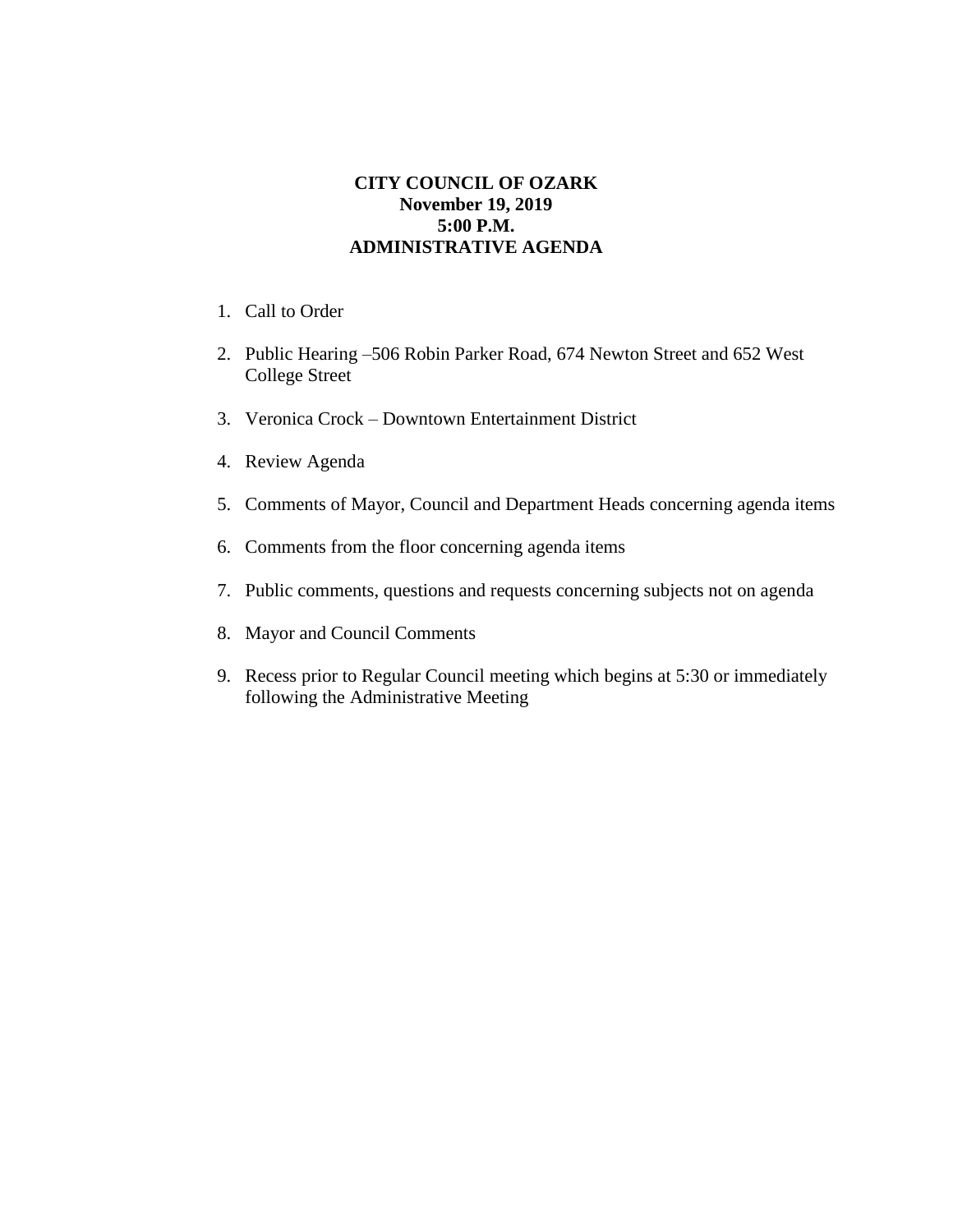## **CITY COUNCIL OF OZARK November 19, 2019 5:00 P.M. ADMINISTRATIVE AGENDA**

- 1. Call to Order
- 2. Public Hearing –506 Robin Parker Road, 674 Newton Street and 652 West College Street
- 3. Veronica Crock Downtown Entertainment District
- 4. Review Agenda
- 5. Comments of Mayor, Council and Department Heads concerning agenda items
- 6. Comments from the floor concerning agenda items
- 7. Public comments, questions and requests concerning subjects not on agenda
- 8. Mayor and Council Comments
- 9. Recess prior to Regular Council meeting which begins at 5:30 or immediately following the Administrative Meeting